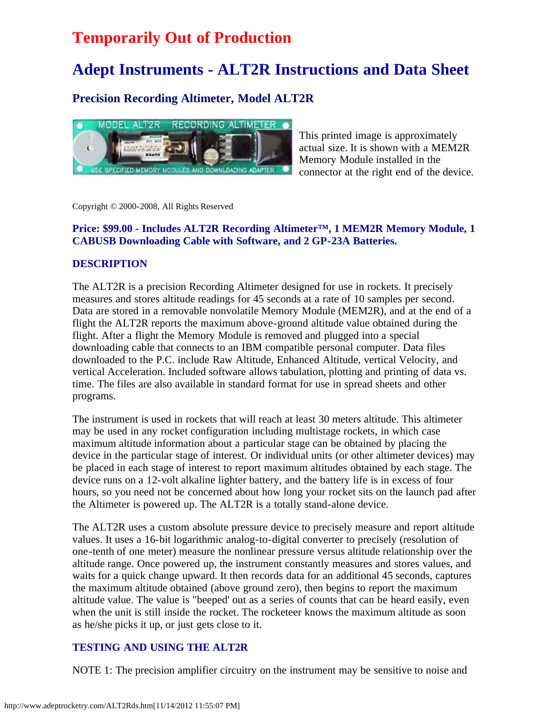# **Temporarily Out of Production**

# **Adept Instruments - ALT2R Instructions and Data Sheet**

## **Precision Recording Altimeter, Model ALT2R**



This printed image is approximately actual size. It is shown with a MEM2R Memory Module installed in the connector at the right end of the device.

Copyright © 2000-2008, All Rights Reserved

#### **Price: \$99.00 - Includes ALT2R Recording Altimeter™, 1 MEM2R Memory Module, 1 CABUSB Downloading Cable with Software, and 2 GP-23A Batteries.**

#### **DESCRIPTION**

The ALT2R is a precision Recording Altimeter designed for use in rockets. It precisely measures and stores altitude readings for 45 seconds at a rate of 10 samples per second. Data are stored in a removable nonvolatile Memory Module (MEM2R), and at the end of a flight the ALT2R reports the maximum above-ground altitude value obtained during the flight. After a flight the Memory Module is removed and plugged into a special downloading cable that connects to an IBM compatible personal computer. Data files downloaded to the P.C. include Raw Altitude, Enhanced Altitude, vertical Velocity, and vertical Acceleration. Included software allows tabulation, plotting and printing of data vs. time. The files are also available in standard format for use in spread sheets and other programs.

The instrument is used in rockets that will reach at least 30 meters altitude. This altimeter may be used in any rocket configuration including multistage rockets, in which case maximum altitude information about a particular stage can be obtained by placing the device in the particular stage of interest. Or individual units (or other altimeter devices) may be placed in each stage of interest to report maximum altitudes obtained by each stage. The device runs on a 12-volt alkaline lighter battery, and the battery life is in excess of four hours, so you need not be concerned about how long your rocket sits on the launch pad after the Altimeter is powered up. The ALT2R is a totally stand-alone device.

The ALT2R uses a custom absolute pressure device to precisely measure and report altitude values. It uses a 16-bit logarithmic analog-to-digital converter to precisely (resolution of one-tenth of one meter) measure the nonlinear pressure versus altitude relationship over the altitude range. Once powered up, the instrument constantly measures and stores values, and waits for a quick change upward. It then records data for an additional 45 seconds, captures the maximum altitude obtained (above ground zero), then begins to report the maximum altitude value. The value is "beeped' out as a series of counts that can be heard easily, even when the unit is still inside the rocket. The rocketeer knows the maximum altitude as soon as he/she picks it up, or just gets close to it.

#### **TESTING AND USING THE ALT2R**

NOTE 1: The precision amplifier circuitry on the instrument may be sensitive to noise and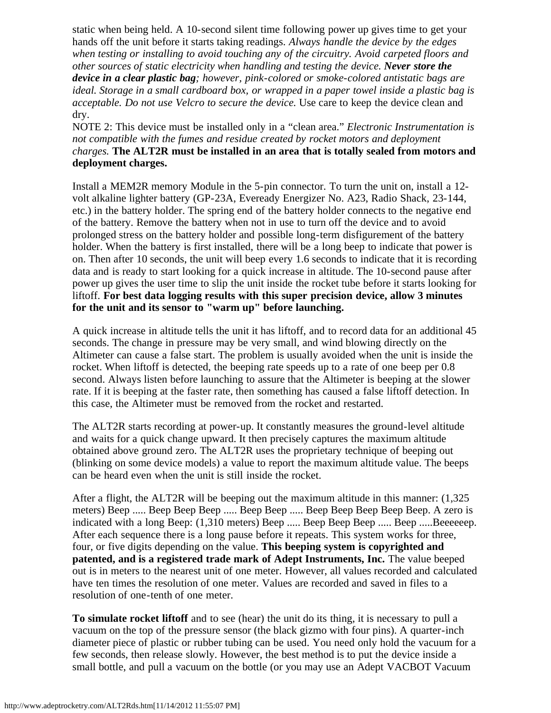static when being held. A 10-second silent time following power up gives time to get your hands off the unit before it starts taking readings. *Always handle the device by the edges when testing or installing to avoid touching any of the circuitry. Avoid carpeted floors and other sources of static electricity when handling and testing the device. Never store the device in a clear plastic bag; however, pink-colored or smoke-colored antistatic bags are ideal. Storage in a small cardboard box, or wrapped in a paper towel inside a plastic bag is acceptable. Do not use Velcro to secure the device.* Use care to keep the device clean and dry.

NOTE 2: This device must be installed only in a "clean area." *Electronic Instrumentation is not compatible with the fumes and residue created by rocket motors and deployment charges.* **The ALT2R must be installed in an area that is totally sealed from motors and deployment charges.**

Install a MEM2R memory Module in the 5-pin connector. To turn the unit on, install a 12 volt alkaline lighter battery (GP-23A, Eveready Energizer No. A23, Radio Shack, 23-144, etc.) in the battery holder. The spring end of the battery holder connects to the negative end of the battery. Remove the battery when not in use to turn off the device and to avoid prolonged stress on the battery holder and possible long-term disfigurement of the battery holder. When the battery is first installed, there will be a long beep to indicate that power is on. Then after 10 seconds, the unit will beep every 1.6 seconds to indicate that it is recording data and is ready to start looking for a quick increase in altitude. The 10-second pause after power up gives the user time to slip the unit inside the rocket tube before it starts looking for liftoff. **For best data logging results with this super precision device, allow 3 minutes for the unit and its sensor to "warm up" before launching.**

A quick increase in altitude tells the unit it has liftoff, and to record data for an additional 45 seconds. The change in pressure may be very small, and wind blowing directly on the Altimeter can cause a false start. The problem is usually avoided when the unit is inside the rocket. When liftoff is detected, the beeping rate speeds up to a rate of one beep per 0.8 second. Always listen before launching to assure that the Altimeter is beeping at the slower rate. If it is beeping at the faster rate, then something has caused a false liftoff detection. In this case, the Altimeter must be removed from the rocket and restarted.

The ALT2R starts recording at power-up. It constantly measures the ground-level altitude and waits for a quick change upward. It then precisely captures the maximum altitude obtained above ground zero. The ALT2R uses the proprietary technique of beeping out (blinking on some device models) a value to report the maximum altitude value. The beeps can be heard even when the unit is still inside the rocket.

After a flight, the ALT2R will be beeping out the maximum altitude in this manner: (1,325 meters) Beep ..... Beep Beep Beep ..... Beep Beep ..... Beep Beep Beep Beep Beep. A zero is indicated with a long Beep: (1,310 meters) Beep ..... Beep Beep Beep ..... Beep .....Beeeeeep. After each sequence there is a long pause before it repeats. This system works for three, four, or five digits depending on the value. **This beeping system is copyrighted and patented, and is a registered trade mark of Adept Instruments, Inc.** The value beeped out is in meters to the nearest unit of one meter. However, all values recorded and calculated have ten times the resolution of one meter. Values are recorded and saved in files to a resolution of one-tenth of one meter.

**To simulate rocket liftoff** and to see (hear) the unit do its thing, it is necessary to pull a vacuum on the top of the pressure sensor (the black gizmo with four pins). A quarter-inch diameter piece of plastic or rubber tubing can be used. You need only hold the vacuum for a few seconds, then release slowly. However, the best method is to put the device inside a small bottle, and pull a vacuum on the bottle (or you may use an Adept VACBOT Vacuum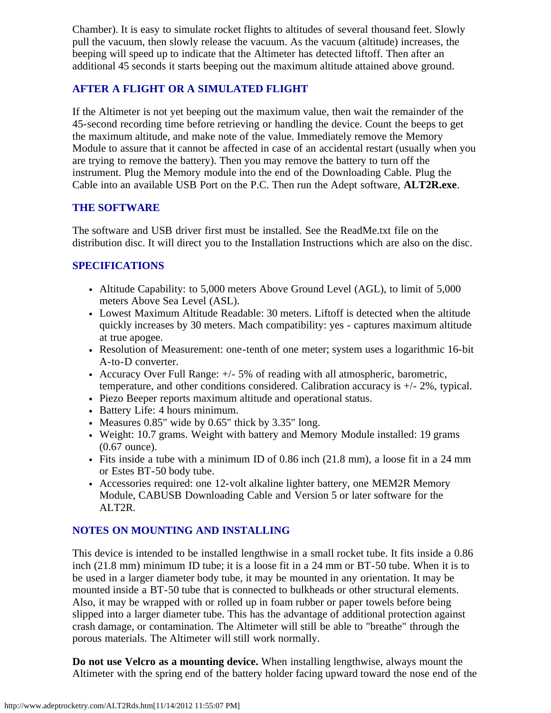Chamber). It is easy to simulate rocket flights to altitudes of several thousand feet. Slowly pull the vacuum, then slowly release the vacuum. As the vacuum (altitude) increases, the beeping will speed up to indicate that the Altimeter has detected liftoff. Then after an additional 45 seconds it starts beeping out the maximum altitude attained above ground.

#### **AFTER A FLIGHT OR A SIMULATED FLIGHT**

If the Altimeter is not yet beeping out the maximum value, then wait the remainder of the 45-second recording time before retrieving or handling the device. Count the beeps to get the maximum altitude, and make note of the value. Immediately remove the Memory Module to assure that it cannot be affected in case of an accidental restart (usually when you are trying to remove the battery). Then you may remove the battery to turn off the instrument. Plug the Memory module into the end of the Downloading Cable. Plug the Cable into an available USB Port on the P.C. Then run the Adept software, **ALT2R.exe**.

#### **THE SOFTWARE**

The software and USB driver first must be installed. See the ReadMe.txt file on the distribution disc. It will direct you to the Installation Instructions which are also on the disc.

### **SPECIFICATIONS**

- Altitude Capability: to 5,000 meters Above Ground Level (AGL), to limit of 5,000 meters Above Sea Level (ASL).
- Lowest Maximum Altitude Readable: 30 meters. Liftoff is detected when the altitude quickly increases by 30 meters. Mach compatibility: yes - captures maximum altitude at true apogee.
- Resolution of Measurement: one-tenth of one meter; system uses a logarithmic 16-bit A-to-D converter.
- Accuracy Over Full Range: +/- 5% of reading with all atmospheric, barometric, temperature, and other conditions considered. Calibration accuracy is +/- 2%, typical.
- Piezo Beeper reports maximum altitude and operational status.
- Battery Life: 4 hours minimum.
- Measures  $0.85$ " wide by  $0.65$ " thick by  $3.35$ " long.
- Weight: 10.7 grams. Weight with battery and Memory Module installed: 19 grams (0.67 ounce).
- Fits inside a tube with a minimum ID of 0.86 inch (21.8 mm), a loose fit in a 24 mm or Estes BT-50 body tube.
- Accessories required: one 12-volt alkaline lighter battery, one MEM2R Memory Module, CABUSB Downloading Cable and Version 5 or later software for the ALT2R.

### **NOTES ON MOUNTING AND INSTALLING**

This device is intended to be installed lengthwise in a small rocket tube. It fits inside a 0.86 inch (21.8 mm) minimum ID tube; it is a loose fit in a 24 mm or BT-50 tube. When it is to be used in a larger diameter body tube, it may be mounted in any orientation. It may be mounted inside a BT-50 tube that is connected to bulkheads or other structural elements. Also, it may be wrapped with or rolled up in foam rubber or paper towels before being slipped into a larger diameter tube. This has the advantage of additional protection against crash damage, or contamination. The Altimeter will still be able to "breathe" through the porous materials. The Altimeter will still work normally.

**Do not use Velcro as a mounting device.** When installing lengthwise, always mount the Altimeter with the spring end of the battery holder facing upward toward the nose end of the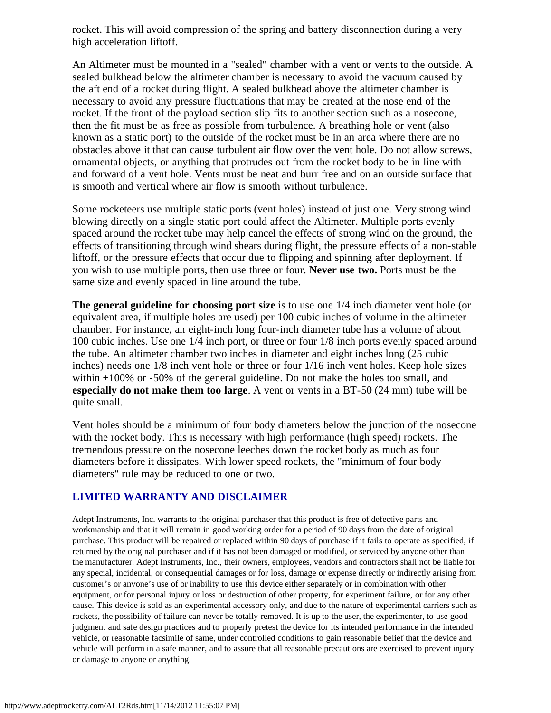rocket. This will avoid compression of the spring and battery disconnection during a very high acceleration liftoff.

An Altimeter must be mounted in a "sealed" chamber with a vent or vents to the outside. A sealed bulkhead below the altimeter chamber is necessary to avoid the vacuum caused by the aft end of a rocket during flight. A sealed bulkhead above the altimeter chamber is necessary to avoid any pressure fluctuations that may be created at the nose end of the rocket. If the front of the payload section slip fits to another section such as a nosecone, then the fit must be as free as possible from turbulence. A breathing hole or vent (also known as a static port) to the outside of the rocket must be in an area where there are no obstacles above it that can cause turbulent air flow over the vent hole. Do not allow screws, ornamental objects, or anything that protrudes out from the rocket body to be in line with and forward of a vent hole. Vents must be neat and burr free and on an outside surface that is smooth and vertical where air flow is smooth without turbulence.

Some rocketeers use multiple static ports (vent holes) instead of just one. Very strong wind blowing directly on a single static port could affect the Altimeter. Multiple ports evenly spaced around the rocket tube may help cancel the effects of strong wind on the ground, the effects of transitioning through wind shears during flight, the pressure effects of a non-stable liftoff, or the pressure effects that occur due to flipping and spinning after deployment. If you wish to use multiple ports, then use three or four. **Never use two.** Ports must be the same size and evenly spaced in line around the tube.

**The general guideline for choosing port size** is to use one 1/4 inch diameter vent hole (or equivalent area, if multiple holes are used) per 100 cubic inches of volume in the altimeter chamber. For instance, an eight-inch long four-inch diameter tube has a volume of about 100 cubic inches. Use one 1/4 inch port, or three or four 1/8 inch ports evenly spaced around the tube. An altimeter chamber two inches in diameter and eight inches long (25 cubic inches) needs one 1/8 inch vent hole or three or four 1/16 inch vent holes. Keep hole sizes within +100% or -50% of the general guideline. Do not make the holes too small, and **especially do not make them too large**. A vent or vents in a BT-50 (24 mm) tube will be quite small.

Vent holes should be a minimum of four body diameters below the junction of the nosecone with the rocket body. This is necessary with high performance (high speed) rockets. The tremendous pressure on the nosecone leeches down the rocket body as much as four diameters before it dissipates. With lower speed rockets, the "minimum of four body diameters" rule may be reduced to one or two.

#### **LIMITED WARRANTY AND DISCLAIMER**

Adept Instruments, Inc. warrants to the original purchaser that this product is free of defective parts and workmanship and that it will remain in good working order for a period of 90 days from the date of original purchase. This product will be repaired or replaced within 90 days of purchase if it fails to operate as specified, if returned by the original purchaser and if it has not been damaged or modified, or serviced by anyone other than the manufacturer. Adept Instruments, Inc., their owners, employees, vendors and contractors shall not be liable for any special, incidental, or consequential damages or for loss, damage or expense directly or indirectly arising from customer's or anyone's use of or inability to use this device either separately or in combination with other equipment, or for personal injury or loss or destruction of other property, for experiment failure, or for any other cause. This device is sold as an experimental accessory only, and due to the nature of experimental carriers such as rockets, the possibility of failure can never be totally removed. It is up to the user, the experimenter, to use good judgment and safe design practices and to properly pretest the device for its intended performance in the intended vehicle, or reasonable facsimile of same, under controlled conditions to gain reasonable belief that the device and vehicle will perform in a safe manner, and to assure that all reasonable precautions are exercised to prevent injury or damage to anyone or anything.